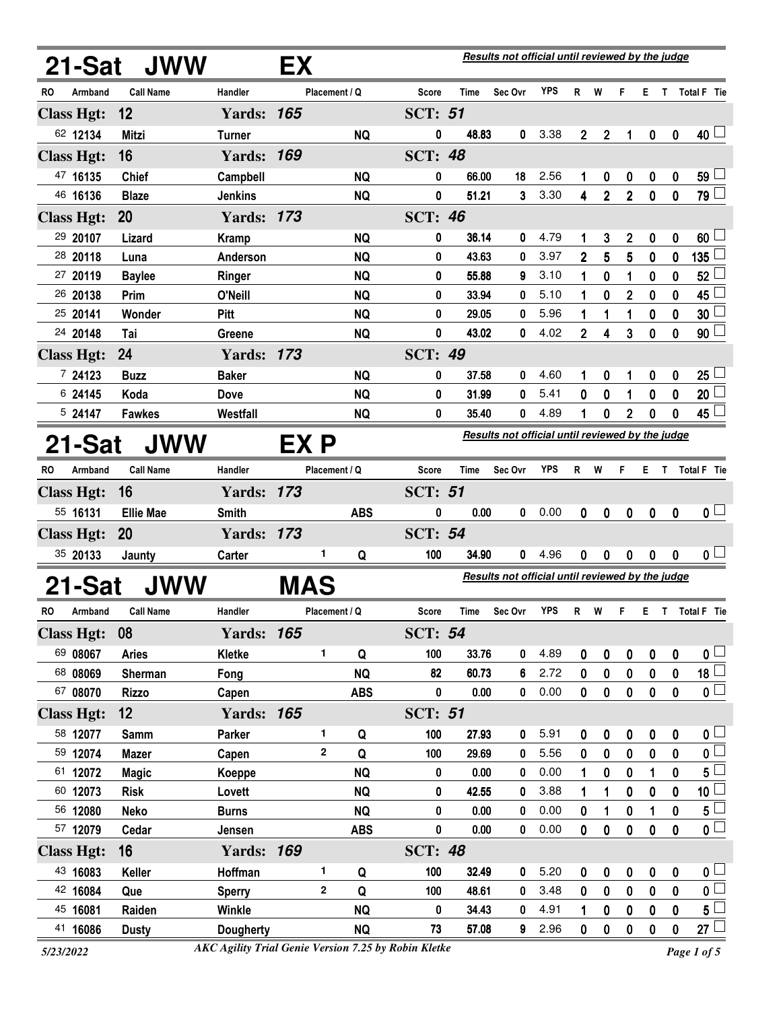|                                                                                  |                   | 21-Sat JWW       |                   | EX         |               |            |                |       | Results not official until reviewed by the judge |            |                |                |                  |           |                  |                          |
|----------------------------------------------------------------------------------|-------------------|------------------|-------------------|------------|---------------|------------|----------------|-------|--------------------------------------------------|------------|----------------|----------------|------------------|-----------|------------------|--------------------------|
| RO                                                                               | Armband           | <b>Call Name</b> | Handler           |            | Placement / Q |            | Score          | Time  | Sec Ovr                                          | <b>YPS</b> | R.             | W              | F                | E T       |                  | Total F Tie              |
|                                                                                  | <b>Class Hgt:</b> | 12               | <b>Yards: 165</b> |            |               |            | <b>SCT: 51</b> |       |                                                  |            |                |                |                  |           |                  |                          |
|                                                                                  | 62 12134          | <b>Mitzi</b>     | <b>Turner</b>     |            |               | <b>NQ</b>  | 0              | 48.83 | 0                                                | 3.38       | $\mathbf{2}$   | $\mathbf 2$    | 1                | 0         | 0                | 40 └                     |
|                                                                                  | <b>Class Hgt:</b> | 16               | <b>Yards: 169</b> |            |               |            | <b>SCT: 48</b> |       |                                                  |            |                |                |                  |           |                  |                          |
|                                                                                  | 47 16135          | <b>Chief</b>     | Campbell          |            |               | <b>NQ</b>  | 0              | 66.00 | 18                                               | 2.56       | 1              | 0              | 0                | 0         | 0                | $59\perp$                |
|                                                                                  | 46 16136          | <b>Blaze</b>     | <b>Jenkins</b>    |            |               | <b>NQ</b>  | 0              | 51.21 | 3                                                | 3.30       | 4              | $\overline{2}$ | $\overline{2}$   | $\bf{0}$  | $\mathbf 0$      | 79 $\Box$                |
|                                                                                  | <b>Class Hgt:</b> | 20               | <b>Yards: 173</b> |            |               |            | <b>SCT: 46</b> |       |                                                  |            |                |                |                  |           |                  |                          |
|                                                                                  | 29 20107          | Lizard           | Kramp             |            |               | <b>NQ</b>  | 0              | 36.14 | 0                                                | 4.79       | 1              | 3              | 2                | 0         | 0                | $60\perp$                |
|                                                                                  | 28 20118          | Luna             | Anderson          |            |               | <b>NQ</b>  | 0              | 43.63 | 0                                                | 3.97       | $\overline{2}$ | 5              | 5                | 0         | 0                | 135                      |
|                                                                                  | 27 20119          | <b>Baylee</b>    | Ringer            |            |               | <b>NQ</b>  | 0              | 55.88 | 9                                                | 3.10       | 1              | 0              | 1                | 0         | 0                | 52                       |
|                                                                                  | 26 20138          | Prim             | O'Neill           |            |               | <b>NQ</b>  | 0              | 33.94 | 0                                                | 5.10       | 1              | 0              | $\mathbf 2$      | 0         | 0                | 45                       |
|                                                                                  | 25 20141          | Wonder           | Pitt              |            |               | <b>NQ</b>  | 0              | 29.05 | 0                                                | 5.96       | 1              | 1              | 1                | 0         | 0                | 30                       |
|                                                                                  | 24 20148          | Tai              | Greene            |            |               | <b>NQ</b>  | 0              | 43.02 | 0                                                | 4.02       | $\overline{2}$ | 4              | 3                | 0         | 0                | 90 <sup>1</sup>          |
|                                                                                  | <b>Class Hgt:</b> | 24               | <b>Yards: 173</b> |            |               |            | <b>SCT: 49</b> |       |                                                  |            |                |                |                  |           |                  |                          |
|                                                                                  | 7 24123           | <b>Buzz</b>      | <b>Baker</b>      |            |               | <b>NQ</b>  | 0              | 37.58 | 0                                                | 4.60       | 1              | 0              | 1                | 0         | 0                | $25\perp$                |
|                                                                                  | 6 24145           | Koda             | <b>Dove</b>       |            |               | <b>NQ</b>  | 0              | 31.99 | 0                                                | 5.41       | 0              | 0              | 1                | 0         | 0                | 20                       |
|                                                                                  | 5 24147           | <b>Fawkes</b>    | Westfall          |            |               | <b>NQ</b>  | 0              | 35.40 | 0                                                | 4.89       | 1              | 0              | 2                | 0         | 0                | 45 $\mathsf{\downarrow}$ |
| Results not official until reviewed by the judge<br><b>JWW</b><br>EX P<br>21-Sat |                   |                  |                   |            |               |            |                |       |                                                  |            |                |                |                  |           |                  |                          |
| <b>RO</b>                                                                        | Armband           | <b>Call Name</b> | Handler           |            | Placement / Q |            | Score          | Time  | Sec Ovr                                          | <b>YPS</b> | R.             | W              | F.               |           |                  | E T Total F Tie          |
|                                                                                  | <b>Class Hgt:</b> | 16               | <b>Yards: 173</b> |            |               |            | <b>SCT: 51</b> |       |                                                  |            |                |                |                  |           |                  |                          |
|                                                                                  | 55 16131          | <b>Ellie Mae</b> | Smith             |            |               | <b>ABS</b> | 0              | 0.00  | 0                                                | 0.00       | 0              | 0              | $\mathbf 0$      | 0         | 0                | 0 <sub>1</sub>           |
|                                                                                  | <b>Class Hgt:</b> | 20               | <b>Yards: 173</b> |            |               |            | <b>SCT: 54</b> |       |                                                  |            |                |                |                  |           |                  |                          |
|                                                                                  | 35 20133          | Jaunty           | Carter            |            | 1             | Q          | 100            | 34.90 | 0                                                | 4.96       | 0              | 0              | 0                | 0         | 0                | 0 <sub>1</sub>           |
|                                                                                  | 21-Sat            | JWW              |                   | <b>MAS</b> |               |            |                |       | Results not official until reviewed by the judge |            |                |                |                  |           |                  |                          |
|                                                                                  |                   |                  |                   |            |               |            |                |       |                                                  |            |                |                |                  |           |                  |                          |
| <b>RO</b>                                                                        | Armband           | <b>Call Name</b> | Handler           |            | Placement / Q |            | Score          | Time  | Sec Ovr                                          | <b>YPS</b> | R              | W              | F                | Е         |                  | T Total F Tie            |
|                                                                                  | <b>Class Hgt:</b> | 08               | <b>Yards: 165</b> |            |               |            | <b>SCT: 54</b> |       |                                                  |            |                |                |                  |           |                  |                          |
|                                                                                  | 69 08067          | <b>Aries</b>     | <b>Kletke</b>     |            | 1             | Q          | 100            | 33.76 | 0                                                | 4.89       | 0              | 0              | $\pmb{0}$        | $\pmb{0}$ | $\pmb{0}$        | $\mathbf{0}$ $\Box$      |
|                                                                                  | 68 08069          | Sherman          | Fong              |            |               | <b>NQ</b>  | 82             | 60.73 | 6                                                | 2.72       | 0              | 0              | $\pmb{0}$        | $\pmb{0}$ | 0                | $\overline{18}$          |
|                                                                                  | 67 08070          | <b>Rizzo</b>     | Capen             |            |               | <b>ABS</b> | $\pmb{0}$      | 0.00  | 0                                                | 0.00       | 0              | 0              | $\pmb{0}$        | $\pmb{0}$ | 0                | $\overline{\mathbf{0}}$  |
|                                                                                  | <b>Class Hgt:</b> | 12               | <b>Yards: 165</b> |            |               |            | <b>SCT: 51</b> |       |                                                  |            |                |                |                  |           |                  |                          |
|                                                                                  | 58 12077          | Samm             | Parker            |            | 1             | Q          | 100            | 27.93 | 0                                                | 5.91       | 0              | 0              | $\pmb{0}$        | $\pmb{0}$ | 0                | 0 <sub>0</sub>           |
|                                                                                  | 59 12074          | <b>Mazer</b>     | Capen             |            | $\mathbf{2}$  | Q          | 100            | 29.69 | 0                                                | 5.56       | 0              | 0              | 0                | 0         | 0                | $\pmb{0}$                |
|                                                                                  | 61 12072          | <b>Magic</b>     | Koeppe            |            |               | <b>NQ</b>  | 0              | 0.00  | 0                                                | 0.00       | 1              | $\bf{0}$       | 0                | 1         | 0                | $5^{\perp}$              |
|                                                                                  | 60 12073          | <b>Risk</b>      | Lovett            |            |               | <b>NQ</b>  | 0              | 42.55 | 0                                                | 3.88       | 1              | 1              | $\mathbf 0$      | $\bf{0}$  | 0                | 10 <sub>1</sub>          |
|                                                                                  | 56 12080          | <b>Neko</b>      | <b>Burns</b>      |            |               | <b>NQ</b>  | 0              | 0.00  | 0                                                | 0.00       | 0              | 1              | $\boldsymbol{0}$ | 1         | $\boldsymbol{0}$ | $5^{\degree}$            |
|                                                                                  | 57 12079          | Cedar            | Jensen            |            |               | <b>ABS</b> | $\pmb{0}$      | 0.00  | 0                                                | 0.00       | $\bf{0}$       | $\pmb{0}$      | $\pmb{0}$        | $\pmb{0}$ | $\bf{0}$         | $\overline{\mathbf{0}}$  |
|                                                                                  | <b>Class Hgt:</b> | 16               | <b>Yards: 169</b> |            |               |            | <b>SCT: 48</b> |       |                                                  |            |                |                |                  |           |                  |                          |
|                                                                                  | 43 16083          | Keller           | Hoffman           |            | 1             | Q          | 100            | 32.49 | 0                                                | 5.20       | 0              | 0              | $\pmb{0}$        | $\pmb{0}$ | 0                | $0\perp$                 |
|                                                                                  | 42 16084          | Que              | <b>Sperry</b>     |            | $\mathbf{2}$  | Q          | 100            | 48.61 | 0                                                | 3.48       | 0              | 0              | $\pmb{0}$        | 0         | 0                | 0 <sup>1</sup>           |
|                                                                                  | 45 16081          | Raiden           | Winkle            |            |               | <b>NQ</b>  | 0              | 34.43 | 0                                                | 4.91       | 1              | 0              | 0                | 0         | 0                | $5\perp$                 |
|                                                                                  | 41 16086          | <b>Dusty</b>     | <b>Dougherty</b>  |            |               | <b>NQ</b>  | 73             | 57.08 | 9                                                | 2.96       | 0              | 0              | $\pmb{0}$        | $\bf{0}$  | 0                | 27 <sup>1</sup>          |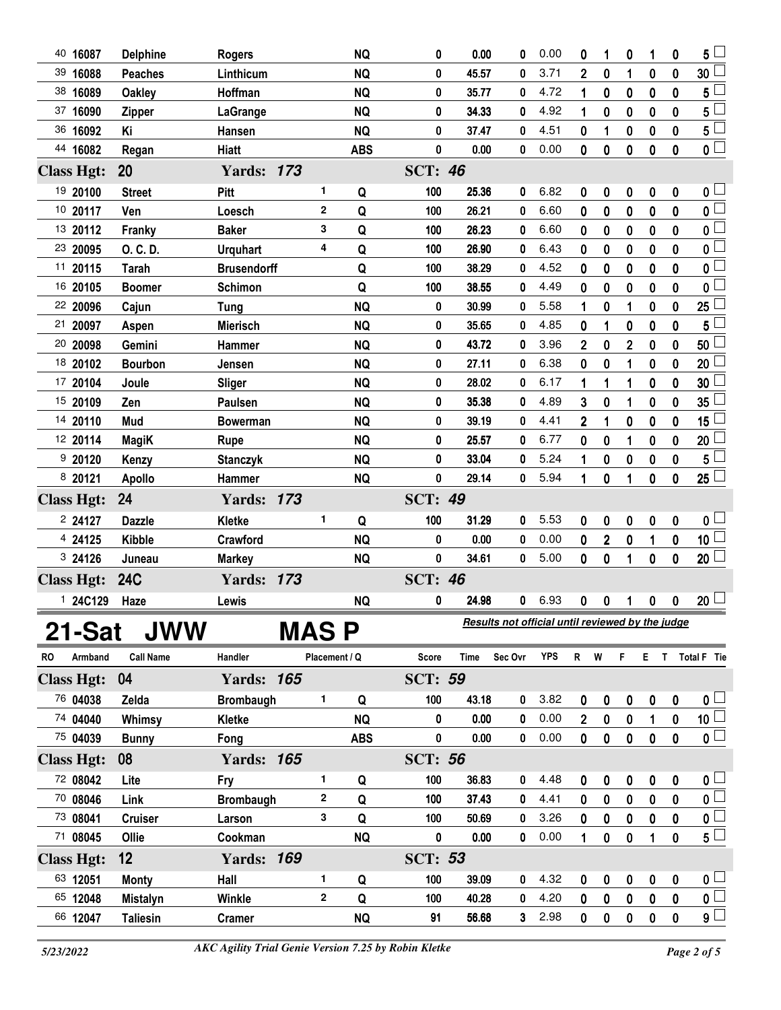| 40 16087          | <b>Delphine</b>  | <b>Rogers</b>      |       |               | <b>NQ</b>  | 0              | 0.00  | 0                                                | 0.00       | 0              | 1                | 0                | 1                | 0                | 5 <sub>1</sub>                            |
|-------------------|------------------|--------------------|-------|---------------|------------|----------------|-------|--------------------------------------------------|------------|----------------|------------------|------------------|------------------|------------------|-------------------------------------------|
| 39 16088          | <b>Peaches</b>   | Linthicum          |       |               | <b>NQ</b>  | 0              | 45.57 | 0                                                | 3.71       | $\overline{2}$ | 0                | 1                | 0                | 0                | 30 <sup>2</sup>                           |
| 38 16089          | <b>Oakley</b>    | Hoffman            |       |               | <b>NQ</b>  | 0              | 35.77 | 0                                                | 4.72       | 1              | 0                | 0                | 0                | 0                | 5                                         |
| 37 16090          | <b>Zipper</b>    | LaGrange           |       |               | <b>NQ</b>  | 0              | 34.33 | 0                                                | 4.92       | 1              | $\bf{0}$         | 0                | $\bf{0}$         | 0                | $5^{\degree}$                             |
| 36 16092          | Κi               | Hansen             |       |               | <b>NQ</b>  | 0              | 37.47 | 0                                                | 4.51       | 0              | 1                | 0                | 0                | 0                | 5 <sup>1</sup>                            |
| 44 16082          | Regan            | <b>Hiatt</b>       |       |               | <b>ABS</b> | 0              | 0.00  | 0                                                | 0.00       | 0              | $\bf{0}$         | 0                | $\bf{0}$         | 0                | $\overline{\mathfrak{o}}$                 |
| <b>Class Hgt:</b> | 20               | <b>Yards: 173</b>  |       |               |            | <b>SCT: 46</b> |       |                                                  |            |                |                  |                  |                  |                  |                                           |
| 19 20100          | <b>Street</b>    | Pitt               |       | 1             | Q          | 100            | 25.36 | 0                                                | 6.82       | 0              | 0                | $\pmb{0}$        | 0                | $\boldsymbol{0}$ | 0 <sub>1</sub>                            |
| 10 20117          | Ven              | Loesch             |       | $\mathbf{2}$  | Q          | 100            | 26.21 | 0                                                | 6.60       | 0              | $\bf{0}$         | 0                | $\bf{0}$         | 0                | $\overline{\mathbf{0}}$                   |
| 13 20112          | Franky           | <b>Baker</b>       |       | 3             | Q          | 100            | 26.23 | 0                                                | 6.60       | 0              | 0                | 0                | 0                | 0                | $\overline{\mathbf{0}}$                   |
| 23 20095          | O. C. D.         | <b>Urquhart</b>    |       | 4             | Q          | 100            | 26.90 | 0                                                | 6.43       | 0              | 0                | 0                | 0                | 0                | $\mathfrak{o} \square$                    |
| 11 20115          | <b>Tarah</b>     | <b>Brusendorff</b> |       |               | Q          | 100            | 38.29 | 0                                                | 4.52       | 0              | 0                | 0                | 0                | 0                | 0                                         |
| 16 20105          | <b>Boomer</b>    | Schimon            |       |               | Q          | 100            | 38.55 | 0                                                | 4.49       | 0              | 0                | 0                | 0                | 0                | 0                                         |
| 22 20096          | Cajun            | <b>Tung</b>        |       |               | <b>NQ</b>  | 0              | 30.99 | 0                                                | 5.58       | 1              | 0                | 1                | 0                | 0                | 25                                        |
| 21<br>20097       | Aspen            | <b>Mierisch</b>    |       |               | <b>NQ</b>  | 0              | 35.65 | 0                                                | 4.85       | 0              | 1                | 0                | 0                | 0                | 5                                         |
| 20 20098          | Gemini           | Hammer             |       |               | <b>NQ</b>  | 0              | 43.72 | 0                                                | 3.96       | 2              | 0                | $\mathbf 2$      | 0                | 0                | 50                                        |
| 18 20102          | <b>Bourbon</b>   | Jensen             |       |               | <b>NQ</b>  | 0              | 27.11 | 0                                                | 6.38       | 0              | 0                | 1                | 0                | 0                | 20                                        |
| 17 20104          | Joule            | Sliger             |       |               | <b>NQ</b>  | 0              | 28.02 | 0                                                | 6.17       | 1              | 1                | 1                | 0                | 0                | 30                                        |
| 15 20109          | Zen              | Paulsen            |       |               | <b>NQ</b>  | 0              | 35.38 | 0                                                | 4.89       | 3              | 0                | 1                | 0                | 0                | 35                                        |
| 14 20110          | Mud              | <b>Bowerman</b>    |       |               | <b>NQ</b>  | 0              | 39.19 | 0                                                | 4.41       | 2              | 1                | 0                | 0                | 0                | 15                                        |
| 12 20114          | <b>MagiK</b>     | <b>Rupe</b>        |       |               | <b>NQ</b>  | 0              | 25.57 | 0                                                | 6.77       | 0              | 0                | 1                | 0                | 0                | 20 <sub>2</sub>                           |
| 920120            | Kenzy            | <b>Stanczyk</b>    |       |               | <b>NQ</b>  | 0              | 33.04 | 0                                                | 5.24       | 1              | 0                | 0                | 0                | 0                | 5                                         |
| 8 20121           | <b>Apollo</b>    | Hammer             |       |               | <b>NQ</b>  | 0              | 29.14 | 0                                                | 5.94       | 1              | $\boldsymbol{0}$ | 1                | $\bf{0}$         | 0                | $25\perp$                                 |
| <b>Class Hgt:</b> | 24               | <b>Yards: 173</b>  |       |               |            | <b>SCT: 49</b> |       |                                                  |            |                |                  |                  |                  |                  |                                           |
| 2 24127           | <b>Dazzle</b>    | Kletke             |       | 1             | Q          | 100            | 31.29 | 0                                                | 5.53       | 0              | 0                | $\pmb{0}$        | $\boldsymbol{0}$ | $\boldsymbol{0}$ | 0 <sub>1</sub>                            |
| 4 24125           | <b>Kibble</b>    | Crawford           |       |               | <b>NQ</b>  | 0              | 0.00  | 0                                                | 0.00       | 0              | $\boldsymbol{2}$ | $\mathbf 0$      | 1                | 0                | 10 $\Box$                                 |
| 3 24126           | Juneau           | <b>Markey</b>      |       |               | <b>NQ</b>  | 0              | 34.61 | 0                                                | 5.00       | 0              | 0                | 1                | $\bf{0}$         | 0                | 20                                        |
|                   |                  |                    |       |               |            |                |       |                                                  |            |                |                  |                  |                  |                  |                                           |
| <b>Class Hgt:</b> | <b>24C</b>       | <b>Yards: 173</b>  |       |               |            | <b>SCT: 46</b> |       |                                                  |            |                |                  |                  |                  |                  |                                           |
| 1 24C129          | Haze             | Lewis              |       |               | <b>NQ</b>  | 0              | 24.98 | 0                                                | 6.93       | 0              | 0                | 1                | 0                | 0                | 20 <sup>1</sup>                           |
|                   |                  |                    |       |               |            |                |       | Results not official until reviewed by the judge |            |                |                  |                  |                  |                  |                                           |
| 21-Sat            | <b>JWW</b>       |                    | MAS P |               |            |                |       |                                                  |            |                |                  |                  |                  |                  |                                           |
| Armband<br>RO     | <b>Call Name</b> | Handler            |       | Placement / Q |            | <b>Score</b>   | Time  | Sec Ovr                                          | <b>YPS</b> | R.             | W                | F                |                  |                  | E T Total F Tie                           |
| <b>Class Hgt:</b> | 04               | <b>Yards: 165</b>  |       |               |            | <b>SCT: 59</b> |       |                                                  |            |                |                  |                  |                  |                  |                                           |
| 76 04038          | Zelda            | <b>Brombaugh</b>   |       | 1             | Q          | 100            | 43.18 | 0                                                | 3.82       | 0              | 0                | 0                | 0                | 0                | 0 <sub>0</sub>                            |
| 74 04040          | Whimsy           | Kletke             |       |               | <b>NQ</b>  | 0              | 0.00  | 0                                                | 0.00       | 2              | 0                | $\mathbf 0$      | 1                | 0                | $\overline{10}$                           |
| 75 04039          | <b>Bunny</b>     | Fong               |       |               | <b>ABS</b> | 0              | 0.00  | 0                                                | 0.00       | 0              | 0                | $\pmb{0}$        | 0                | 0                | $\overline{\mathbf{0}}$                   |
| <b>Class Hgt:</b> | 08               | <b>Yards: 165</b>  |       |               |            | <b>SCT: 56</b> |       |                                                  |            |                |                  |                  |                  |                  |                                           |
| 72 08042          | Lite             | Fry                |       | 1             | Q          | 100            | 36.83 | 0                                                | 4.48       | 0              | 0                | $\pmb{0}$        | 0                | 0                | 0 <sub>1</sub>                            |
| 70 08046          | Link             | Brombaugh          |       | $\mathbf{2}$  | Q          | 100            | 37.43 | 0                                                | 4.41       | 0              | 0                | 0                | $\bf{0}$         | 0                | $\overline{\mathbf{0}}$                   |
| 73 08041          | <b>Cruiser</b>   | Larson             |       | 3             | Q          | 100            | 50.69 | 0                                                | 3.26       | 0              | 0                | $\boldsymbol{0}$ | 0                | 0                | $\mathbf{0}$                              |
| 71 08045          | Ollie            | Cookman            |       |               | <b>NQ</b>  | 0              | 0.00  | 0                                                | 0.00       | 1              | $\mathbf{0}$     | $\mathbf 0$      | 1                | 0                | $5^{\square}$                             |
| <b>Class Hgt:</b> | 12               | <b>Yards: 169</b>  |       |               |            | <b>SCT: 53</b> |       |                                                  |            |                |                  |                  |                  |                  |                                           |
| 63 12051          | <b>Monty</b>     | Hall               |       | 1             | Q          | 100            | 39.09 | 0                                                | 4.32       | 0              | 0                | 0                | 0                | 0                | $\mathbf{0}$ $\Box$                       |
| 65 12048          | <b>Mistalyn</b>  | Winkle             |       | $\mathbf{2}$  | Q          | 100            | 40.28 | 0                                                | 4.20       | $\mathbf{0}$   | $\pmb{0}$        | $\pmb{0}$        | $\mathbf 0$      | 0                | $\overline{\mathbf{0}}$<br>9 <sup>1</sup> |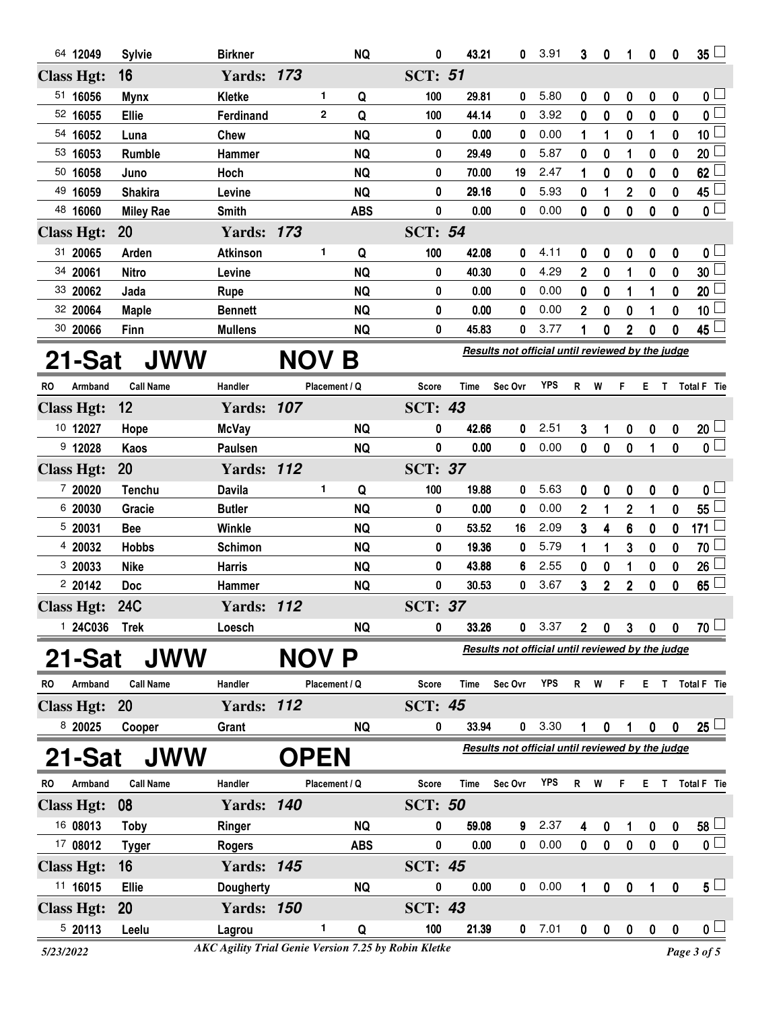|           | 64 12049          | <b>Sylvie</b>    | <b>Birkner</b>    |             |             | <b>NQ</b>     | 0                                                | 43.21       | 0                                                | 3.91       | 3              | 0            | 1              | 0                | 0                | $35 -$                  |  |
|-----------|-------------------|------------------|-------------------|-------------|-------------|---------------|--------------------------------------------------|-------------|--------------------------------------------------|------------|----------------|--------------|----------------|------------------|------------------|-------------------------|--|
|           | <b>Class Hgt:</b> | 16               | <b>Yards: 173</b> |             |             |               | <b>SCT: 51</b>                                   |             |                                                  |            |                |              |                |                  |                  |                         |  |
|           | 51 16056          | <b>Mynx</b>      | <b>Kletke</b>     |             | 1           | Q             | 100                                              | 29.81       | 0                                                | 5.80       | 0              | 0            | 0              | 0                | 0                | 0 <sub>1</sub>          |  |
|           | 52 16055          | Ellie            | Ferdinand         |             | $\mathbf 2$ | Q             | 100                                              | 44.14       | 0                                                | 3.92       | 0              | 0            | 0              | 0                | 0                | $\mathbf 0$             |  |
|           | 54 16052          | Luna             | Chew              |             |             | <b>NQ</b>     | 0                                                | 0.00        | 0                                                | 0.00       | 1              | 1            | 0              | 1                | 0                | 10 <sub>1</sub>         |  |
|           | 53 16053          | Rumble           | <b>Hammer</b>     |             |             | <b>NQ</b>     | 0                                                | 29.49       | 0                                                | 5.87       | 0              | 0            | 1              | 0                | 0                | 20                      |  |
|           | 50 16058          | Juno             | Hoch              |             |             | <b>NQ</b>     | 0                                                | 70.00       | 19                                               | 2.47       | 1              | 0            | 0              | $\bf{0}$         | 0                | 62                      |  |
|           | 49 16059          | <b>Shakira</b>   | Levine            |             |             | <b>NQ</b>     | 0                                                | 29.16       | 0                                                | 5.93       | 0              | 1            | $\overline{2}$ | 0                | 0                | 45                      |  |
|           | 48 16060          | <b>Miley Rae</b> | <b>Smith</b>      |             |             | <b>ABS</b>    | $\bf{0}$                                         | 0.00        | 0                                                | 0.00       | 0              | 0            | $\mathbf 0$    | $\bf{0}$         | 0                | $0\perp$                |  |
|           | <b>Class Hgt:</b> | <b>20</b>        | <b>Yards: 173</b> |             |             |               | <b>SCT: 54</b>                                   |             |                                                  |            |                |              |                |                  |                  |                         |  |
|           | 31 20065          | Arden            | <b>Atkinson</b>   |             | 1           | Q             | 100                                              | 42.08       | 0                                                | 4.11       | 0              | 0            | 0              | 0                | 0                | 0 <sub>1</sub>          |  |
|           | 34 20061          | <b>Nitro</b>     | Levine            |             |             | <b>NQ</b>     | 0                                                | 40.30       | 0                                                | 4.29       | $\overline{2}$ | 0            | 1              | $\mathbf 0$      | 0                | 30                      |  |
|           | 33 20062          | Jada             | Rupe              |             |             | <b>NQ</b>     | 0                                                | 0.00        | 0                                                | 0.00       | 0              | 0            | 1              | 1                | 0                | 20                      |  |
|           | 32 20064          | <b>Maple</b>     | <b>Bennett</b>    |             |             | <b>NQ</b>     | 0                                                | 0.00        | 0                                                | 0.00       | $\overline{2}$ | 0            | 0              | 1                | 0                | 10                      |  |
|           | 30 20066          | Finn             | <b>Mullens</b>    |             |             | <b>NQ</b>     | 0                                                | 45.83       | 0                                                | 3.77       | 1              | 0            | $\overline{2}$ | 0                | 0                | 45 $\lfloor$            |  |
|           |                   |                  |                   |             |             |               | Results not official until reviewed by the judge |             |                                                  |            |                |              |                |                  |                  |                         |  |
|           | 21-Sat            | <b>JWW</b>       |                   | NOV         |             | Β             |                                                  |             |                                                  |            |                |              |                |                  |                  |                         |  |
| <b>RO</b> | Armband           | <b>Call Name</b> | Handler           |             |             | Placement / Q | Score                                            | Time        | Sec Ovr                                          | <b>YPS</b> | R              | W            | F              | ET.              |                  | Total F Tie             |  |
|           | <b>Class Hgt:</b> | 12               | <b>Yards: 107</b> |             |             |               | <b>SCT: 43</b>                                   |             |                                                  |            |                |              |                |                  |                  |                         |  |
|           | 10 12027          | Hope             | <b>McVay</b>      |             |             | <b>NQ</b>     | 0                                                | 42.66       | 0                                                | 2.51       | 3              | 1            | 0              | $\boldsymbol{0}$ | 0                | 20 <sup>1</sup>         |  |
|           | $9$ 12028         | Kaos             | Paulsen           |             |             | <b>NQ</b>     | 0                                                | 0.00        | 0                                                | 0.00       | $\mathbf{0}$   | $\mathbf{0}$ | $\mathbf{0}$   | $\mathbf{1}$     | $\mathbf{0}$     | $\overline{\mathbf{0}}$ |  |
|           | <b>Class Hgt:</b> | <b>20</b>        | <b>Yards: 112</b> |             |             |               | <b>SCT: 37</b>                                   |             |                                                  |            |                |              |                |                  |                  |                         |  |
|           | 7 20020           | <b>Tenchu</b>    | <b>Davila</b>     |             | 1           | Q             | 100                                              | 19.88       | 0                                                | 5.63       | 0              | 0            | 0              | 0                | 0                | 0 <sub>0</sub>          |  |
|           | 6 20030           | Gracie           | <b>Butler</b>     |             |             | <b>NQ</b>     | 0                                                | 0.00        | 0                                                | 0.00       | $\overline{2}$ | 1            | $\overline{2}$ | 1                | $\mathbf 0$      | 55                      |  |
|           | 5 20031           | <b>Bee</b>       | Winkle            |             |             | <b>NQ</b>     | 0                                                | 53.52       | 16                                               | 2.09       | 3              | 4            | 6              | 0                | 0                | 171 $\Box$              |  |
|           | 4 20032           | <b>Hobbs</b>     | <b>Schimon</b>    |             |             | <b>NQ</b>     | 0                                                | 19.36       | 0                                                | 5.79       | 1              | 1            | 3              | 0                | 0                | 70                      |  |
|           | 3 20033           | <b>Nike</b>      | <b>Harris</b>     |             |             | <b>NQ</b>     | 0                                                | 43.88       | 6                                                | 2.55       | 0              | 0            | 1              | 0                | 0                | 26                      |  |
|           | 2 20142           | <b>Doc</b>       | Hammer            |             |             | <b>NQ</b>     | 0                                                | 30.53       | 0                                                | 3.67       | 3              | $\mathbf 2$  | $\overline{2}$ | $\mathbf 0$      | 0                | 65                      |  |
|           | <b>Class Hgt:</b> | <b>24C</b>       | <b>Yards: 112</b> |             |             |               | <b>SCT: 37</b>                                   |             |                                                  |            |                |              |                |                  |                  |                         |  |
|           | 1 24C036          | <b>Trek</b>      | Loesch            |             |             | <b>NQ</b>     | 0                                                | 33.26       | 0                                                | 3.37       | 2              | 0            | 3              | 0                | 0                | $70$ $-$                |  |
|           |                   | <b>JWW</b>       |                   |             |             | P             |                                                  |             | Results not official until reviewed by the judge |            |                |              |                |                  |                  |                         |  |
|           | 21-Sat            |                  |                   | <b>NOV</b>  |             |               |                                                  |             |                                                  |            |                |              |                |                  |                  |                         |  |
| <b>RO</b> | Armband           | <b>Call Name</b> | Handler           |             |             | Placement / Q | <b>Score</b>                                     | <b>Time</b> | Sec Ovr                                          | YPS        | $\mathsf{R}$   | W            | F              | ET.              |                  | Total F Tie             |  |
|           | <b>Class Hgt:</b> | <b>20</b>        | <b>Yards: 112</b> |             |             |               | <b>SCT: 45</b>                                   |             |                                                  |            |                |              |                |                  |                  |                         |  |
|           | 8 20025           | Cooper           | Grant             |             |             | <b>NQ</b>     | 0                                                | 33.94       | 0                                                | 3.30       | 1              | 0            | 1              | 0                | 0                | $25\perp$               |  |
|           | 21-Sat            | <b>JWW</b>       |                   | <b>OPEN</b> |             |               |                                                  |             | Results not official until reviewed by the judge |            |                |              |                |                  |                  |                         |  |
| <b>RO</b> | Armband           | <b>Call Name</b> | Handler           |             |             | Placement / Q | <b>Score</b>                                     | <b>Time</b> | Sec Ovr                                          | <b>YPS</b> | R W            |              | F.             |                  |                  | E T Total F Tie         |  |
|           | <b>Class Hgt:</b> | 08               | <b>Yards: 140</b> |             |             |               | <b>SCT: 50</b>                                   |             |                                                  |            |                |              |                |                  |                  |                         |  |
|           | 16 08013          | <b>Toby</b>      | Ringer            |             |             | <b>NQ</b>     | 0                                                | 59.08       | 9                                                | 2.37       | 4              | 0            | 1              | 0                | 0                | $58\perp$               |  |
|           | 17 08012          | <b>Tyger</b>     | <b>Rogers</b>     |             |             | <b>ABS</b>    | 0                                                | 0.00        | 0                                                | 0.00       | 0              | $\mathbf 0$  | $\mathbf 0$    | $\bf{0}$         | $\mathbf{0}$     | $\overline{\mathbf{0}}$ |  |
|           | <b>Class Hgt:</b> | 16               | <b>Yards: 145</b> |             |             |               | <b>SCT: 45</b>                                   |             |                                                  |            |                |              |                |                  |                  |                         |  |
|           | 11 16015          | Ellie            | <b>Dougherty</b>  |             |             | <b>NQ</b>     | 0                                                | 0.00        | 0                                                | 0.00       | 1              | 0            | 0              | 1                | 0                | 5 <sub>1</sub>          |  |
|           |                   |                  |                   |             |             |               |                                                  |             |                                                  |            |                |              |                |                  |                  |                         |  |
|           | <b>Class Hgt:</b> | 20               | <b>Yards: 150</b> |             |             |               | <b>SCT: 43</b>                                   |             |                                                  |            |                |              |                |                  |                  |                         |  |
|           | 5 20113           | Leelu            | Lagrou            |             | 1           | Q             | 100                                              | 21.39       | $\mathbf 0$                                      | 7.01       | 0              | 0            | $\pmb{0}$      | $\boldsymbol{0}$ | $\boldsymbol{0}$ | 0 <sub>1</sub>          |  |

*<sup>5/23/2022</sup> Page 3 of 5 AKC Agility Trial Genie Version 7.25 by Robin Kletke*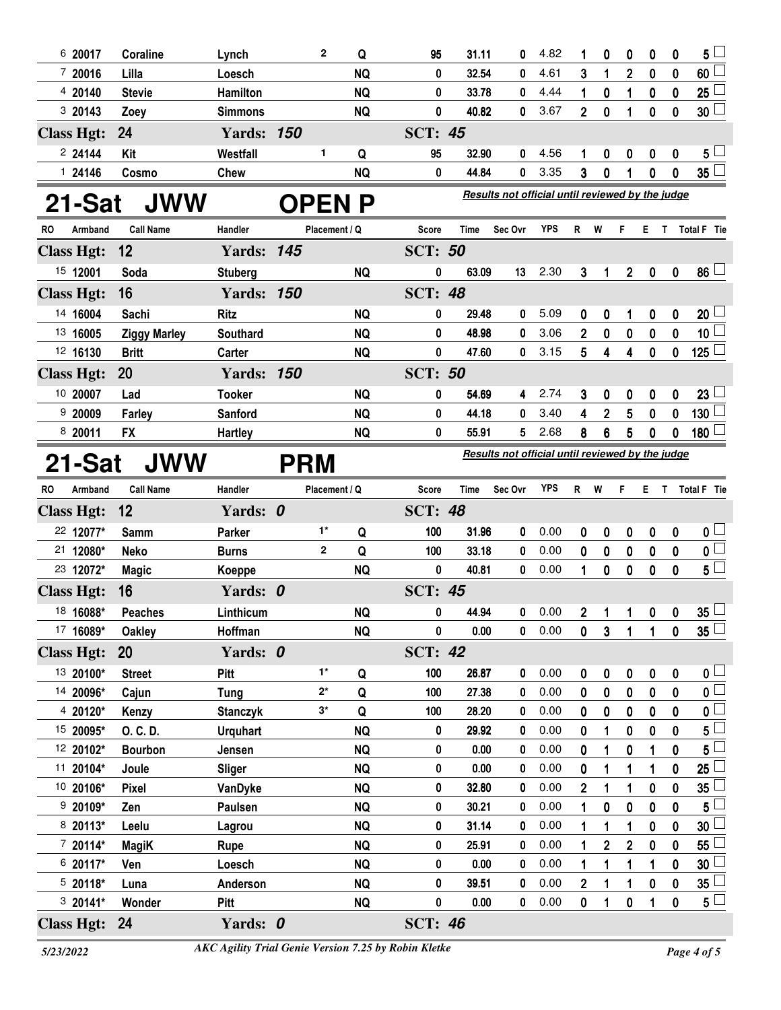| 6 20017              | Coraline            | Lynch             |            | $\mathbf{2}$  | Q                      | 95                                               | 31.11         | 0                                                | 4.82         | 1              | 0              | 0                       | 0             | 0            | 5                  |
|----------------------|---------------------|-------------------|------------|---------------|------------------------|--------------------------------------------------|---------------|--------------------------------------------------|--------------|----------------|----------------|-------------------------|---------------|--------------|--------------------|
| 7 20016              | Lilla               | Loesch            |            |               | <b>NQ</b>              | 0                                                | 32.54         | 0                                                | 4.61         | 3              | 1              | $\overline{2}$          | 0             | 0            | 60                 |
| 4 20140              | <b>Stevie</b>       | Hamilton          |            |               | <b>NQ</b>              | 0                                                | 33.78         | 0                                                | 4.44         | 1              | 0              | 1                       | 0             | 0            | 25                 |
| 3 20143              | Zoey                | <b>Simmons</b>    |            |               | <b>NQ</b>              | 0                                                | 40.82         | 0                                                | 3.67         | $\overline{2}$ | 0              | 1                       | $\bf{0}$      | 0            | 30 <sup>°</sup>    |
| <b>Class Hgt:</b>    | 24                  | <b>Yards: 150</b> |            |               |                        | <b>SCT: 45</b>                                   |               |                                                  |              |                |                |                         |               |              |                    |
| 2 24144              | Kit                 | Westfall          |            | 1             | Q                      | 95                                               | 32.90         | 0                                                | 4.56         | 1              | 0              | 0                       | 0             | 0            | 5                  |
| 1 24146              | Cosmo               | <b>Chew</b>       |            |               | <b>NQ</b>              | 0                                                | 44.84         | 0                                                | 3.35         | 3              | 0              | 1                       | $\bf{0}$      | 0            | 35 <sup>1</sup>    |
| 21-Sat<br><b>JWW</b> |                     |                   |            |               | <b>OPEN P</b>          | Results not official until reviewed by the judge |               |                                                  |              |                |                |                         |               |              |                    |
| Armband<br>RO        | <b>Call Name</b>    | Handler           |            | Placement / Q |                        | Score                                            | Time          | Sec Ovr                                          | <b>YPS</b>   | R              | W              | F                       | Е             | T.           | <b>Total F</b> Tie |
| <b>Class Hgt:</b>    | 12                  | <b>Yards: 145</b> |            |               |                        | <b>SCT: 50</b>                                   |               |                                                  |              |                |                |                         |               |              |                    |
| 15 12001             | Soda                | <b>Stuberg</b>    |            |               | <b>NQ</b>              | 0                                                | 63.09         | 13                                               | 2.30         | 3              | 1              | $\overline{\mathbf{2}}$ | 0             | 0            | 86 <sup>1</sup>    |
| <b>Class Hgt:</b>    | 16                  | <b>Yards: 150</b> |            |               |                        | <b>SCT: 48</b>                                   |               |                                                  |              |                |                |                         |               |              |                    |
| 14 16004             | Sachi               | <b>Ritz</b>       |            |               | <b>NQ</b>              | 0                                                | 29.48         | 0                                                | 5.09         | 0              | 0              | 1                       | 0             | 0            | 20                 |
| 13 16005             | <b>Ziggy Marley</b> | <b>Southard</b>   |            |               | <b>NQ</b>              | 0                                                | 48.98         | 0                                                | 3.06         | 2              | 0              | 0                       | 0             | 0            | 10 <sub>1</sub>    |
| 12 16130             | <b>Britt</b>        | Carter            |            |               | <b>NQ</b>              | 0                                                | 47.60         | 0                                                | 3.15         | 5              | 4              | 4                       | 0             | 0            | 125                |
| <b>Class Hgt:</b>    | <b>20</b>           | <b>Yards: 150</b> |            |               |                        | <b>SCT: 50</b>                                   |               |                                                  |              |                |                |                         |               |              |                    |
| 10 20007             | Lad                 | <b>Tooker</b>     |            |               | <b>NQ</b>              | 0                                                | 54.69         | 4                                                | 2.74         | 3              | 0              | 0                       | 0             | 0            | 23                 |
| 920009               | Farley              | Sanford           |            |               | <b>NQ</b>              | 0                                                | 44.18         | 0                                                | 3.40         | 4              | $\overline{2}$ | 5                       | 0             | 0            | 130                |
| 8 20011              | <b>FX</b>           | <b>Hartley</b>    |            |               | <b>NQ</b>              | 0                                                | 55.91         | 5                                                | 2.68         | 8              | 6              | 5                       | 0             | 0            | 180                |
| 21-Sat               | JWW                 |                   | <b>PRM</b> |               |                        |                                                  |               | Results not official until reviewed by the judge |              |                |                |                         |               |              |                    |
| RO<br>Armband        | <b>Call Name</b>    | Handler           |            | Placement / Q |                        | Score                                            | Time          | Sec Ovr                                          | <b>YPS</b>   | R              | W              | F                       | Е.<br>T.      |              | <b>Total F</b> Tie |
| <b>Class Hgt:</b>    | 12                  | Yards: 0          |            |               |                        | <b>SCT: 48</b>                                   |               |                                                  |              |                |                |                         |               |              |                    |
| 22 12077*            | <b>Samm</b>         | Parker            |            | 1*            | Q                      | 100                                              | 31.96         | 0                                                | 0.00         | 0              | 0              | 0                       | 0             | 0            | 0 <sub>1</sub>     |
| 21 12080*            | Neko                | <b>Burns</b>      |            | $\mathbf{2}$  | Q                      | 100                                              | 33.18         | 0                                                | 0.00         | 0              | 0              | 0                       | 0             | 0            | $\mathbf 0$        |
| 23 12072*            | <b>Magic</b>        | Koeppe            |            |               | <b>NQ</b>              | 0                                                | 40.81         | 0                                                | 0.00         | 1              | 0              | 0                       | $\mathbf 0$   | 0            | 5 <sup>1</sup>     |
| <b>Class Hgt:</b>    | 16                  | Yards: 0          |            |               |                        | <b>SCT: 45</b>                                   |               |                                                  |              |                |                |                         |               |              |                    |
| 18 16088*            | <b>Peaches</b>      | Linthicum         |            |               | <b>NQ</b>              | 0                                                | 44.94         | 0                                                | 0.00         | $\overline{2}$ | $\mathbf{1}$   | 1                       | $\mathbf 0$   | 0            | $35^{\frac{1}{2}}$ |
| 17 16089*            | <b>Oakley</b>       | Hoffman           |            |               | <b>NQ</b>              | 0                                                | 0.00          | 0                                                | 0.00         | 0              | $\mathbf{3}$   | $\mathbf{1}$            | 1             | $\mathbf 0$  | $35\lceil$         |
| <b>Class Hgt:</b>    | <b>20</b>           | Yards: 0          |            |               |                        | <b>SCT: 42</b>                                   |               |                                                  |              |                |                |                         |               |              |                    |
| 13 20100*            | <b>Street</b>       | Pitt              |            | $1*$          | Q                      | 100                                              | 26.87         | 0                                                | 0.00         | 0              | 0              | 0                       | 0             | 0            | 0 <sup>1</sup>     |
| 14 20096*            | Cajun               | <b>Tung</b>       |            | $2^*$         | Q                      | 100                                              | 27.38         | 0                                                | 0.00         | 0              | 0              | 0                       | $\mathbf 0$   | 0            | $\mathbf 0$        |
| 4 20120*             | Kenzy               | <b>Stanczyk</b>   |            | $3^*$         | Q                      | 100                                              | 28.20         | 0                                                | 0.00         | 0              | 0              | 0                       | 0             | 0            | 0                  |
| 15 20095*            | O. C. D.            | <b>Urquhart</b>   |            |               | <b>NQ</b>              | 0                                                | 29.92         | 0                                                | 0.00         | 0              | 1              | 0                       | $\mathbf 0$   | 0            | 5                  |
| 12 20102*            | <b>Bourbon</b>      | Jensen            |            |               | <b>NQ</b>              | 0                                                | 0.00          | 0                                                | 0.00         | 0              |                | 0                       | 1             | 0            | 5                  |
| 11 20104*            | Joule               | <b>Sliger</b>     |            |               | <b>NQ</b>              | 0                                                | 0.00          | 0                                                | 0.00         | 0              | 1              | 1                       | 1             | $\mathbf{0}$ | 25                 |
| 10 20106*            | <b>Pixel</b>        | VanDyke           |            |               | <b>NQ</b>              | 0                                                | 32.80         | 0                                                | 0.00         | $\overline{2}$ | 1              | 1                       | $\bf{0}$      | 0            | 35                 |
| 9 20109*             | Zen                 | Paulsen           |            |               | <b>NQ</b>              | 0                                                | 30.21         | 0                                                | 0.00         | 1              | $\bf{0}$       | 0                       | $\bf{0}$      | $\mathbf{0}$ | 5                  |
| 8 20113*             | Leelu               | Lagrou            |            |               | <b>NQ</b>              | 0                                                | 31.14         | 0                                                | 0.00         | 1              | 1              | 1                       | $\bf{0}$      | 0            | 30                 |
| 7 20114*             | <b>MagiK</b>        | <b>Rupe</b>       |            |               | <b>NQ</b>              | 0                                                | 25.91         | 0                                                | 0.00         | 1              | $\overline{2}$ | $\overline{2}$          | $\bf{0}$      | $\mathbf 0$  | 55                 |
| 6 20117*<br>5 20118* | Ven                 | Loesch            |            |               | <b>NQ</b>              | 0<br>0                                           | 0.00<br>39.51 | 0<br>0                                           | 0.00<br>0.00 | 1              | 1              | 1                       | 1             | 0            | 30                 |
| 3 20141*             | Luna<br>Wonder      | Anderson<br>Pitt  |            |               | <b>NQ</b><br><b>NQ</b> | 0                                                | 0.00          | 0                                                | 0.00         | 2<br>0         | 1<br>1         | 1<br>0                  | $\bf{0}$<br>1 | 0<br>0       | 35<br>$5\sqcup$    |
| <b>Class Hgt:</b>    | 24                  | Yards: 0          |            |               |                        | <b>SCT: 46</b>                                   |               |                                                  |              |                |                |                         |               |              |                    |
|                      |                     |                   |            |               |                        |                                                  |               |                                                  |              |                |                |                         |               |              |                    |